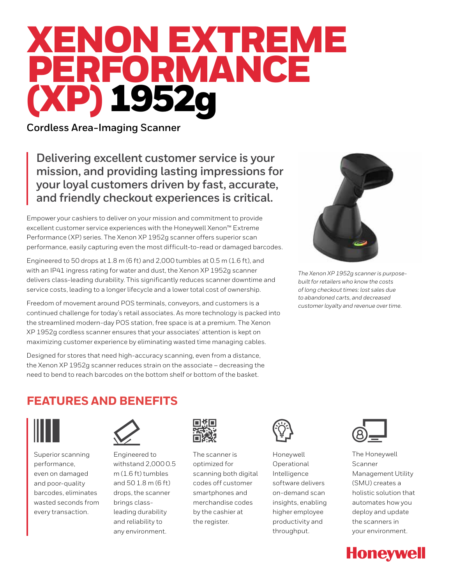# XENON EXTREME PERFORMANCE (XP) 1952g

**Cordless Area-Imaging Scanner**

**Delivering excellent customer service is your mission, and providing lasting impressions for your loyal customers driven by fast, accurate, and friendly checkout experiences is critical.**

Empower your cashiers to deliver on your mission and commitment to provide excellent customer service experiences with the Honeywell Xenon™ Extreme Performance (XP) series. The Xenon XP 1952g scanner offers superior scan performance, easily capturing even the most difficult-to-read or damaged barcodes.

Engineered to 50 drops at 1.8 m (6 ft) and 2,000 tumbles at 0.5 m (1.6 ft), and with an IP41 ingress rating for water and dust, the Xenon XP 1952g scanner delivers class-leading durability. This significantly reduces scanner downtime and service costs, leading to a longer lifecycle and a lower total cost of ownership.

Freedom of movement around POS terminals, conveyors, and customers is a continued challenge for today's retail associates. As more technology is packed into the streamlined modern-day POS station, free space is at a premium. The Xenon XP 1952g cordless scanner ensures that your associates' attention is kept on maximizing customer experience by eliminating wasted time managing cables.

Designed for stores that need high-accuracy scanning, even from a distance, the Xenon XP 1952g scanner reduces strain on the associate – decreasing the need to bend to reach barcodes on the bottom shelf or bottom of the basket.



*The Xenon XP 1952g scanner is purposebuilt for retailers who know the costs of long checkout times: lost sales due to abandoned carts, and decreased customer loyalty and revenue over time.*

### **FEATURES AND BENEFITS**



Superior scanning performance, even on damaged and poor-quality barcodes, eliminates wasted seconds from every transaction.



Engineered to withstand 2,000 0.5 m (1.6 ft) tumbles and 50 1.8 m (6 ft) drops, the scanner brings classleading durability and reliability to any environment.



The scanner is optimized for scanning both digital codes off customer smartphones and merchandise codes by the cashier at the register.



Honeywell Operational Intelligence software delivers on-demand scan insights, enabling higher employee productivity and throughput.



The Honeywell Scanner Management Utility (SMU) creates a holistic solution that automates how you deploy and update the scanners in your environment.